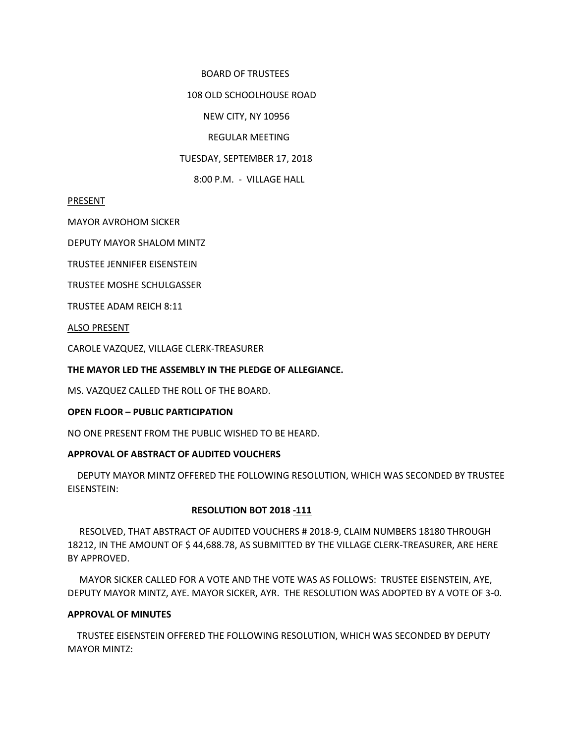### BOARD OF TRUSTEES

### 108 OLD SCHOOLHOUSE ROAD

## NEW CITY, NY 10956

## REGULAR MEETING

### TUESDAY, SEPTEMBER 17, 2018

8:00 P.M. - VILLAGE HALL

#### PRESENT

MAYOR AVROHOM SICKER

DEPUTY MAYOR SHALOM MINTZ

TRUSTEE JENNIFER EISENSTEIN

TRUSTEE MOSHE SCHULGASSER

TRUSTEE ADAM REICH 8:11

ALSO PRESENT

CAROLE VAZQUEZ, VILLAGE CLERK-TREASURER

### **THE MAYOR LED THE ASSEMBLY IN THE PLEDGE OF ALLEGIANCE.**

MS. VAZQUEZ CALLED THE ROLL OF THE BOARD.

#### **OPEN FLOOR – PUBLIC PARTICIPATION**

NO ONE PRESENT FROM THE PUBLIC WISHED TO BE HEARD.

# **APPROVAL OF ABSTRACT OF AUDITED VOUCHERS**

DEPUTY MAYOR MINTZ OFFERED THE FOLLOWING RESOLUTION, WHICH WAS SECONDED BY TRUSTEE EISENSTEIN:

# **RESOLUTION BOT 2018 -111**

 RESOLVED, THAT ABSTRACT OF AUDITED VOUCHERS # 2018-9, CLAIM NUMBERS 18180 THROUGH 18212, IN THE AMOUNT OF \$ 44,688.78, AS SUBMITTED BY THE VILLAGE CLERK-TREASURER, ARE HERE BY APPROVED.

 MAYOR SICKER CALLED FOR A VOTE AND THE VOTE WAS AS FOLLOWS: TRUSTEE EISENSTEIN, AYE, DEPUTY MAYOR MINTZ, AYE. MAYOR SICKER, AYR. THE RESOLUTION WAS ADOPTED BY A VOTE OF 3-0.

#### **APPROVAL OF MINUTES**

 TRUSTEE EISENSTEIN OFFERED THE FOLLOWING RESOLUTION, WHICH WAS SECONDED BY DEPUTY MAYOR MINTZ: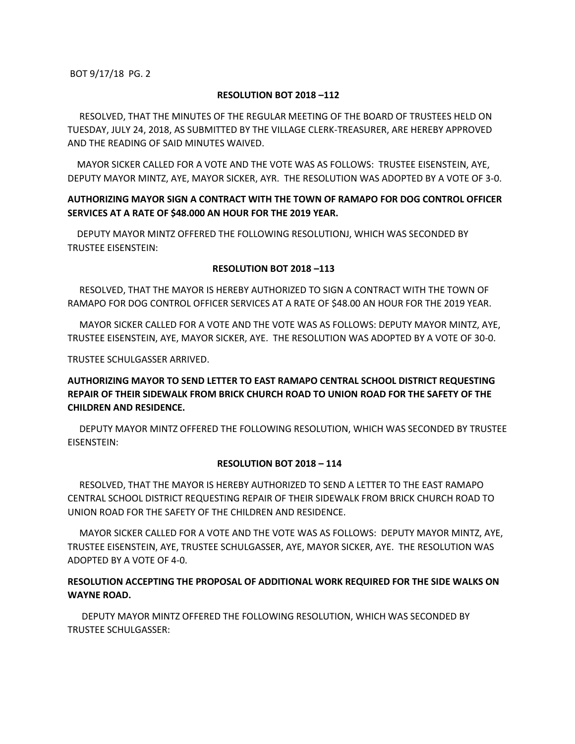## **RESOLUTION BOT 2018 –112**

 RESOLVED, THAT THE MINUTES OF THE REGULAR MEETING OF THE BOARD OF TRUSTEES HELD ON TUESDAY, JULY 24, 2018, AS SUBMITTED BY THE VILLAGE CLERK-TREASURER, ARE HEREBY APPROVED AND THE READING OF SAID MINUTES WAIVED.

 MAYOR SICKER CALLED FOR A VOTE AND THE VOTE WAS AS FOLLOWS: TRUSTEE EISENSTEIN, AYE, DEPUTY MAYOR MINTZ, AYE, MAYOR SICKER, AYR. THE RESOLUTION WAS ADOPTED BY A VOTE OF 3-0.

# **AUTHORIZING MAYOR SIGN A CONTRACT WITH THE TOWN OF RAMAPO FOR DOG CONTROL OFFICER SERVICES AT A RATE OF \$48.000 AN HOUR FOR THE 2019 YEAR.**

 DEPUTY MAYOR MINTZ OFFERED THE FOLLOWING RESOLUTIONJ, WHICH WAS SECONDED BY TRUSTEE EISENSTEIN:

# **RESOLUTION BOT 2018 –113**

 RESOLVED, THAT THE MAYOR IS HEREBY AUTHORIZED TO SIGN A CONTRACT WITH THE TOWN OF RAMAPO FOR DOG CONTROL OFFICER SERVICES AT A RATE OF \$48.00 AN HOUR FOR THE 2019 YEAR.

 MAYOR SICKER CALLED FOR A VOTE AND THE VOTE WAS AS FOLLOWS: DEPUTY MAYOR MINTZ, AYE, TRUSTEE EISENSTEIN, AYE, MAYOR SICKER, AYE. THE RESOLUTION WAS ADOPTED BY A VOTE OF 30-0.

TRUSTEE SCHULGASSER ARRIVED.

# **AUTHORIZING MAYOR TO SEND LETTER TO EAST RAMAPO CENTRAL SCHOOL DISTRICT REQUESTING REPAIR OF THEIR SIDEWALK FROM BRICK CHURCH ROAD TO UNION ROAD FOR THE SAFETY OF THE CHILDREN AND RESIDENCE.**

DEPUTY MAYOR MINTZ OFFERED THE FOLLOWING RESOLUTION, WHICH WAS SECONDED BY TRUSTEE EISENSTEIN:

# **RESOLUTION BOT 2018 – 114**

 RESOLVED, THAT THE MAYOR IS HEREBY AUTHORIZED TO SEND A LETTER TO THE EAST RAMAPO CENTRAL SCHOOL DISTRICT REQUESTING REPAIR OF THEIR SIDEWALK FROM BRICK CHURCH ROAD TO UNION ROAD FOR THE SAFETY OF THE CHILDREN AND RESIDENCE.

 MAYOR SICKER CALLED FOR A VOTE AND THE VOTE WAS AS FOLLOWS: DEPUTY MAYOR MINTZ, AYE, TRUSTEE EISENSTEIN, AYE, TRUSTEE SCHULGASSER, AYE, MAYOR SICKER, AYE. THE RESOLUTION WAS ADOPTED BY A VOTE OF 4-0.

# **RESOLUTION ACCEPTING THE PROPOSAL OF ADDITIONAL WORK REQUIRED FOR THE SIDE WALKS ON WAYNE ROAD.**

 DEPUTY MAYOR MINTZ OFFERED THE FOLLOWING RESOLUTION, WHICH WAS SECONDED BY TRUSTEE SCHULGASSER: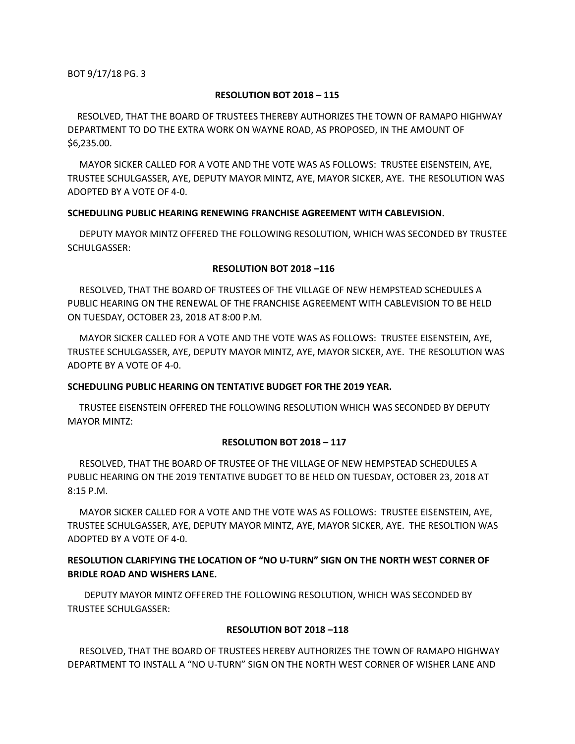#### **RESOLUTION BOT 2018 – 115**

 RESOLVED, THAT THE BOARD OF TRUSTEES THEREBY AUTHORIZES THE TOWN OF RAMAPO HIGHWAY DEPARTMENT TO DO THE EXTRA WORK ON WAYNE ROAD, AS PROPOSED, IN THE AMOUNT OF \$6,235.00.

 MAYOR SICKER CALLED FOR A VOTE AND THE VOTE WAS AS FOLLOWS: TRUSTEE EISENSTEIN, AYE, TRUSTEE SCHULGASSER, AYE, DEPUTY MAYOR MINTZ, AYE, MAYOR SICKER, AYE. THE RESOLUTION WAS ADOPTED BY A VOTE OF 4-0.

### **SCHEDULING PUBLIC HEARING RENEWING FRANCHISE AGREEMENT WITH CABLEVISION.**

 DEPUTY MAYOR MINTZ OFFERED THE FOLLOWING RESOLUTION, WHICH WAS SECONDED BY TRUSTEE SCHULGASSER:

### **RESOLUTION BOT 2018 –116**

 RESOLVED, THAT THE BOARD OF TRUSTEES OF THE VILLAGE OF NEW HEMPSTEAD SCHEDULES A PUBLIC HEARING ON THE RENEWAL OF THE FRANCHISE AGREEMENT WITH CABLEVISION TO BE HELD ON TUESDAY, OCTOBER 23, 2018 AT 8:00 P.M.

 MAYOR SICKER CALLED FOR A VOTE AND THE VOTE WAS AS FOLLOWS: TRUSTEE EISENSTEIN, AYE, TRUSTEE SCHULGASSER, AYE, DEPUTY MAYOR MINTZ, AYE, MAYOR SICKER, AYE. THE RESOLUTION WAS ADOPTE BY A VOTE OF 4-0.

# **SCHEDULING PUBLIC HEARING ON TENTATIVE BUDGET FOR THE 2019 YEAR.**

 TRUSTEE EISENSTEIN OFFERED THE FOLLOWING RESOLUTION WHICH WAS SECONDED BY DEPUTY MAYOR MINTZ:

# **RESOLUTION BOT 2018 – 117**

 RESOLVED, THAT THE BOARD OF TRUSTEE OF THE VILLAGE OF NEW HEMPSTEAD SCHEDULES A PUBLIC HEARING ON THE 2019 TENTATIVE BUDGET TO BE HELD ON TUESDAY, OCTOBER 23, 2018 AT 8:15 P.M.

 MAYOR SICKER CALLED FOR A VOTE AND THE VOTE WAS AS FOLLOWS: TRUSTEE EISENSTEIN, AYE, TRUSTEE SCHULGASSER, AYE, DEPUTY MAYOR MINTZ, AYE, MAYOR SICKER, AYE. THE RESOLTION WAS ADOPTED BY A VOTE OF 4-0.

# **RESOLUTION CLARIFYING THE LOCATION OF "NO U-TURN" SIGN ON THE NORTH WEST CORNER OF BRIDLE ROAD AND WISHERS LANE.**

 DEPUTY MAYOR MINTZ OFFERED THE FOLLOWING RESOLUTION, WHICH WAS SECONDED BY TRUSTEE SCHULGASSER:

# **RESOLUTION BOT 2018 –118**

 RESOLVED, THAT THE BOARD OF TRUSTEES HEREBY AUTHORIZES THE TOWN OF RAMAPO HIGHWAY DEPARTMENT TO INSTALL A "NO U-TURN" SIGN ON THE NORTH WEST CORNER OF WISHER LANE AND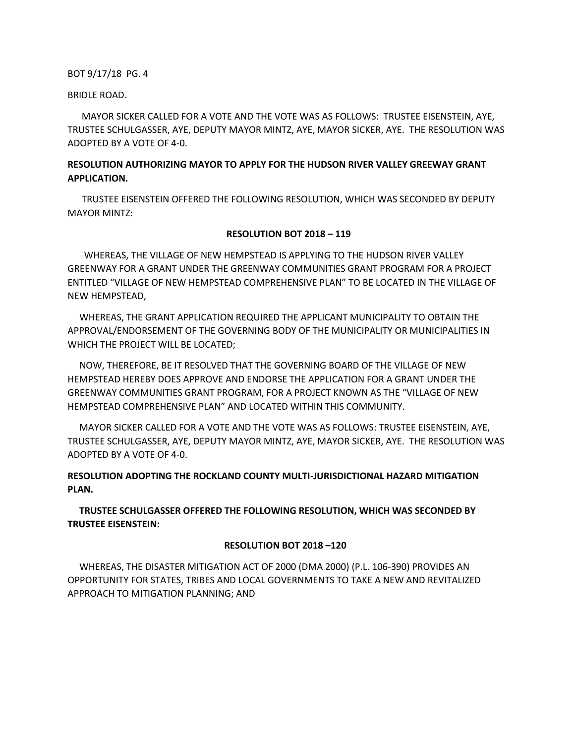#### BRIDLE ROAD.

 MAYOR SICKER CALLED FOR A VOTE AND THE VOTE WAS AS FOLLOWS: TRUSTEE EISENSTEIN, AYE, TRUSTEE SCHULGASSER, AYE, DEPUTY MAYOR MINTZ, AYE, MAYOR SICKER, AYE. THE RESOLUTION WAS ADOPTED BY A VOTE OF 4-0.

# **RESOLUTION AUTHORIZING MAYOR TO APPLY FOR THE HUDSON RIVER VALLEY GREEWAY GRANT APPLICATION.**

 TRUSTEE EISENSTEIN OFFERED THE FOLLOWING RESOLUTION, WHICH WAS SECONDED BY DEPUTY MAYOR MINTZ:

#### **RESOLUTION BOT 2018 – 119**

 WHEREAS, THE VILLAGE OF NEW HEMPSTEAD IS APPLYING TO THE HUDSON RIVER VALLEY GREENWAY FOR A GRANT UNDER THE GREENWAY COMMUNITIES GRANT PROGRAM FOR A PROJECT ENTITLED "VILLAGE OF NEW HEMPSTEAD COMPREHENSIVE PLAN" TO BE LOCATED IN THE VILLAGE OF NEW HEMPSTEAD,

 WHEREAS, THE GRANT APPLICATION REQUIRED THE APPLICANT MUNICIPALITY TO OBTAIN THE APPROVAL/ENDORSEMENT OF THE GOVERNING BODY OF THE MUNICIPALITY OR MUNICIPALITIES IN WHICH THE PROJECT WILL BE LOCATED;

 NOW, THEREFORE, BE IT RESOLVED THAT THE GOVERNING BOARD OF THE VILLAGE OF NEW HEMPSTEAD HEREBY DOES APPROVE AND ENDORSE THE APPLICATION FOR A GRANT UNDER THE GREENWAY COMMUNITIES GRANT PROGRAM, FOR A PROJECT KNOWN AS THE "VILLAGE OF NEW HEMPSTEAD COMPREHENSIVE PLAN" AND LOCATED WITHIN THIS COMMUNITY.

 MAYOR SICKER CALLED FOR A VOTE AND THE VOTE WAS AS FOLLOWS: TRUSTEE EISENSTEIN, AYE, TRUSTEE SCHULGASSER, AYE, DEPUTY MAYOR MINTZ, AYE, MAYOR SICKER, AYE. THE RESOLUTION WAS ADOPTED BY A VOTE OF 4-0.

# **RESOLUTION ADOPTING THE ROCKLAND COUNTY MULTI-JURISDICTIONAL HAZARD MITIGATION PLAN.**

 **TRUSTEE SCHULGASSER OFFERED THE FOLLOWING RESOLUTION, WHICH WAS SECONDED BY TRUSTEE EISENSTEIN:**

#### **RESOLUTION BOT 2018 –120**

 WHEREAS, THE DISASTER MITIGATION ACT OF 2000 (DMA 2000) (P.L. 106-390) PROVIDES AN OPPORTUNITY FOR STATES, TRIBES AND LOCAL GOVERNMENTS TO TAKE A NEW AND REVITALIZED APPROACH TO MITIGATION PLANNING; AND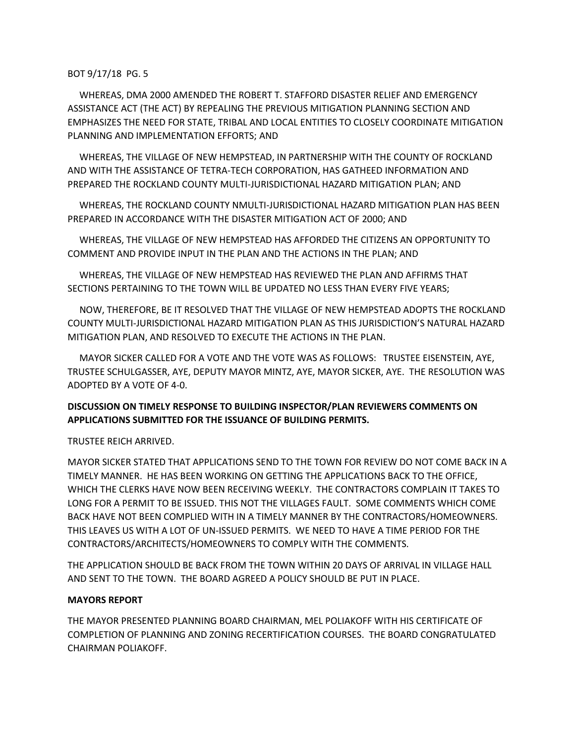WHEREAS, DMA 2000 AMENDED THE ROBERT T. STAFFORD DISASTER RELIEF AND EMERGENCY ASSISTANCE ACT (THE ACT) BY REPEALING THE PREVIOUS MITIGATION PLANNING SECTION AND EMPHASIZES THE NEED FOR STATE, TRIBAL AND LOCAL ENTITIES TO CLOSELY COORDINATE MITIGATION PLANNING AND IMPLEMENTATION EFFORTS; AND

 WHEREAS, THE VILLAGE OF NEW HEMPSTEAD, IN PARTNERSHIP WITH THE COUNTY OF ROCKLAND AND WITH THE ASSISTANCE OF TETRA-TECH CORPORATION, HAS GATHEED INFORMATION AND PREPARED THE ROCKLAND COUNTY MULTI-JURISDICTIONAL HAZARD MITIGATION PLAN; AND

 WHEREAS, THE ROCKLAND COUNTY NMULTI-JURISDICTIONAL HAZARD MITIGATION PLAN HAS BEEN PREPARED IN ACCORDANCE WITH THE DISASTER MITIGATION ACT OF 2000; AND

 WHEREAS, THE VILLAGE OF NEW HEMPSTEAD HAS AFFORDED THE CITIZENS AN OPPORTUNITY TO COMMENT AND PROVIDE INPUT IN THE PLAN AND THE ACTIONS IN THE PLAN; AND

 WHEREAS, THE VILLAGE OF NEW HEMPSTEAD HAS REVIEWED THE PLAN AND AFFIRMS THAT SECTIONS PERTAINING TO THE TOWN WILL BE UPDATED NO LESS THAN EVERY FIVE YEARS;

 NOW, THEREFORE, BE IT RESOLVED THAT THE VILLAGE OF NEW HEMPSTEAD ADOPTS THE ROCKLAND COUNTY MULTI-JURISDICTIONAL HAZARD MITIGATION PLAN AS THIS JURISDICTION'S NATURAL HAZARD MITIGATION PLAN, AND RESOLVED TO EXECUTE THE ACTIONS IN THE PLAN.

 MAYOR SICKER CALLED FOR A VOTE AND THE VOTE WAS AS FOLLOWS: TRUSTEE EISENSTEIN, AYE, TRUSTEE SCHULGASSER, AYE, DEPUTY MAYOR MINTZ, AYE, MAYOR SICKER, AYE. THE RESOLUTION WAS ADOPTED BY A VOTE OF 4-0.

# **DISCUSSION ON TIMELY RESPONSE TO BUILDING INSPECTOR/PLAN REVIEWERS COMMENTS ON APPLICATIONS SUBMITTED FOR THE ISSUANCE OF BUILDING PERMITS.**

# TRUSTEE REICH ARRIVED.

MAYOR SICKER STATED THAT APPLICATIONS SEND TO THE TOWN FOR REVIEW DO NOT COME BACK IN A TIMELY MANNER. HE HAS BEEN WORKING ON GETTING THE APPLICATIONS BACK TO THE OFFICE, WHICH THE CLERKS HAVE NOW BEEN RECEIVING WEEKLY. THE CONTRACTORS COMPLAIN IT TAKES TO LONG FOR A PERMIT TO BE ISSUED. THIS NOT THE VILLAGES FAULT. SOME COMMENTS WHICH COME BACK HAVE NOT BEEN COMPLIED WITH IN A TIMELY MANNER BY THE CONTRACTORS/HOMEOWNERS. THIS LEAVES US WITH A LOT OF UN-ISSUED PERMITS. WE NEED TO HAVE A TIME PERIOD FOR THE CONTRACTORS/ARCHITECTS/HOMEOWNERS TO COMPLY WITH THE COMMENTS.

THE APPLICATION SHOULD BE BACK FROM THE TOWN WITHIN 20 DAYS OF ARRIVAL IN VILLAGE HALL AND SENT TO THE TOWN. THE BOARD AGREED A POLICY SHOULD BE PUT IN PLACE.

# **MAYORS REPORT**

THE MAYOR PRESENTED PLANNING BOARD CHAIRMAN, MEL POLIAKOFF WITH HIS CERTIFICATE OF COMPLETION OF PLANNING AND ZONING RECERTIFICATION COURSES. THE BOARD CONGRATULATED CHAIRMAN POLIAKOFF.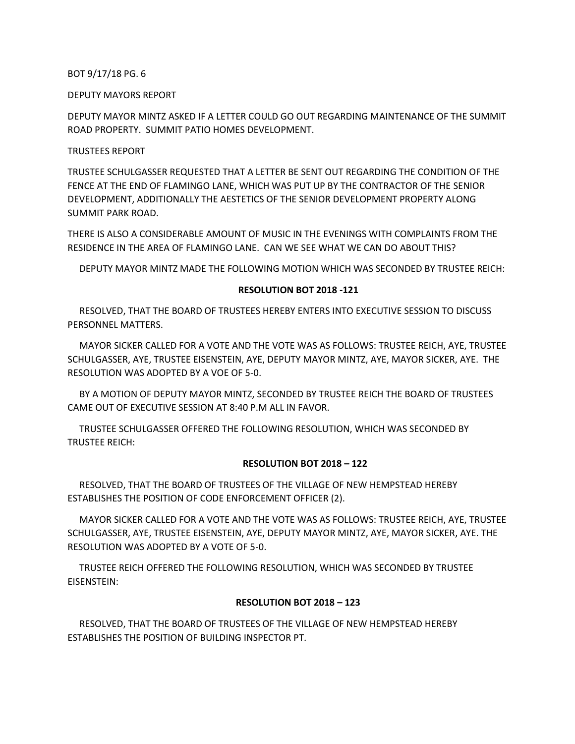DEPUTY MAYORS REPORT

DEPUTY MAYOR MINTZ ASKED IF A LETTER COULD GO OUT REGARDING MAINTENANCE OF THE SUMMIT ROAD PROPERTY. SUMMIT PATIO HOMES DEVELOPMENT.

## TRUSTEES REPORT

TRUSTEE SCHULGASSER REQUESTED THAT A LETTER BE SENT OUT REGARDING THE CONDITION OF THE FENCE AT THE END OF FLAMINGO LANE, WHICH WAS PUT UP BY THE CONTRACTOR OF THE SENIOR DEVELOPMENT, ADDITIONALLY THE AESTETICS OF THE SENIOR DEVELOPMENT PROPERTY ALONG SUMMIT PARK ROAD.

THERE IS ALSO A CONSIDERABLE AMOUNT OF MUSIC IN THE EVENINGS WITH COMPLAINTS FROM THE RESIDENCE IN THE AREA OF FLAMINGO LANE. CAN WE SEE WHAT WE CAN DO ABOUT THIS?

DEPUTY MAYOR MINTZ MADE THE FOLLOWING MOTION WHICH WAS SECONDED BY TRUSTEE REICH:

### **RESOLUTION BOT 2018 -121**

 RESOLVED, THAT THE BOARD OF TRUSTEES HEREBY ENTERS INTO EXECUTIVE SESSION TO DISCUSS PERSONNEL MATTERS.

 MAYOR SICKER CALLED FOR A VOTE AND THE VOTE WAS AS FOLLOWS: TRUSTEE REICH, AYE, TRUSTEE SCHULGASSER, AYE, TRUSTEE EISENSTEIN, AYE, DEPUTY MAYOR MINTZ, AYE, MAYOR SICKER, AYE. THE RESOLUTION WAS ADOPTED BY A VOE OF 5-0.

 BY A MOTION OF DEPUTY MAYOR MINTZ, SECONDED BY TRUSTEE REICH THE BOARD OF TRUSTEES CAME OUT OF EXECUTIVE SESSION AT 8:40 P.M ALL IN FAVOR.

 TRUSTEE SCHULGASSER OFFERED THE FOLLOWING RESOLUTION, WHICH WAS SECONDED BY TRUSTEE REICH:

#### **RESOLUTION BOT 2018 – 122**

 RESOLVED, THAT THE BOARD OF TRUSTEES OF THE VILLAGE OF NEW HEMPSTEAD HEREBY ESTABLISHES THE POSITION OF CODE ENFORCEMENT OFFICER (2).

 MAYOR SICKER CALLED FOR A VOTE AND THE VOTE WAS AS FOLLOWS: TRUSTEE REICH, AYE, TRUSTEE SCHULGASSER, AYE, TRUSTEE EISENSTEIN, AYE, DEPUTY MAYOR MINTZ, AYE, MAYOR SICKER, AYE. THE RESOLUTION WAS ADOPTED BY A VOTE OF 5-0.

 TRUSTEE REICH OFFERED THE FOLLOWING RESOLUTION, WHICH WAS SECONDED BY TRUSTEE EISENSTEIN:

# **RESOLUTION BOT 2018 – 123**

 RESOLVED, THAT THE BOARD OF TRUSTEES OF THE VILLAGE OF NEW HEMPSTEAD HEREBY ESTABLISHES THE POSITION OF BUILDING INSPECTOR PT.